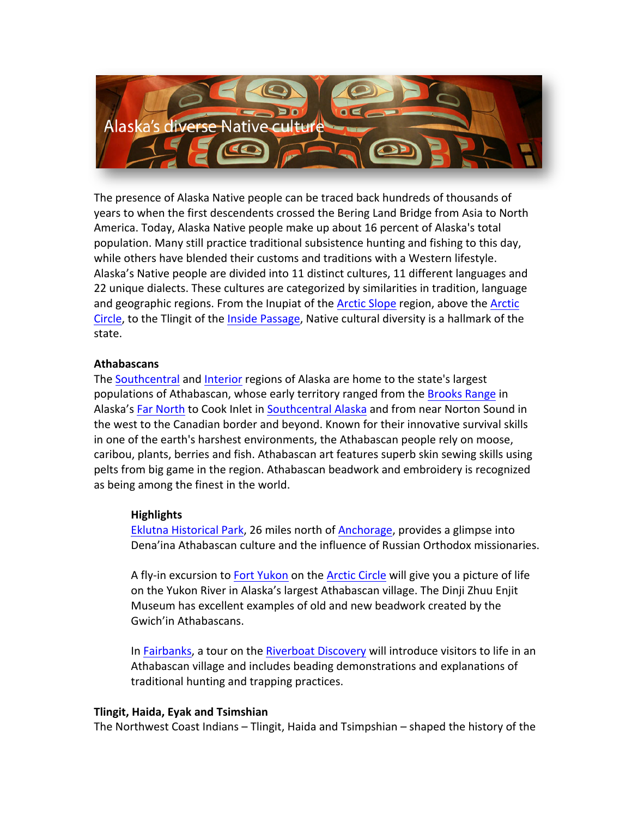

The presence of Alaska Native people can be traced back hundreds of thousands of years to when the first descendents crossed the Bering Land Bridge from Asia to North America. Today, Alaska Native people make up about 16 percent of Alaska's total population. Many still practice traditional subsistence hunting and fishing to this day, while others have blended their customs and traditions with a Western lifestyle. Alaska's Native people are divided into 11 distinct cultures, 11 different languages and 22 unique dialects. These cultures are categorized by similarities in tradition, language and geographic regions. From the Inupiat of the Arctic Slope region, above the Arctic Circle, to the Tlingit of the Inside Passage, Native cultural diversity is a hallmark of the state.

### **Athabascans**

The Southcentral and Interior regions of Alaska are home to the state's largest populations of Athabascan, whose early territory ranged from the Brooks Range in Alaska's Far North to Cook Inlet in Southcentral Alaska and from near Norton Sound in the west to the Canadian border and beyond. Known for their innovative survival skills in one of the earth's harshest environments, the Athabascan people rely on moose, caribou, plants, berries and fish. Athabascan art features superb skin sewing skills using pelts from big game in the region. Athabascan beadwork and embroidery is recognized as being among the finest in the world.

# **Highlights**

Eklutna Historical Park, 26 miles north of Anchorage, provides a glimpse into Dena'ina Athabascan culture and the influence of Russian Orthodox missionaries.

A fly-in excursion to Fort Yukon on the Arctic Circle will give you a picture of life on the Yukon River in Alaska's largest Athabascan village. The Dinji Zhuu Enjit Museum has excellent examples of old and new beadwork created by the Gwich'in Athabascans.

In Fairbanks, a tour on the Riverboat Discovery will introduce visitors to life in an Athabascan village and includes beading demonstrations and explanations of traditional hunting and trapping practices.

### **Tlingit, Haida, Eyak and Tsimshian**

The Northwest Coast Indians  $-$  Tlingit, Haida and Tsimpshian  $-$  shaped the history of the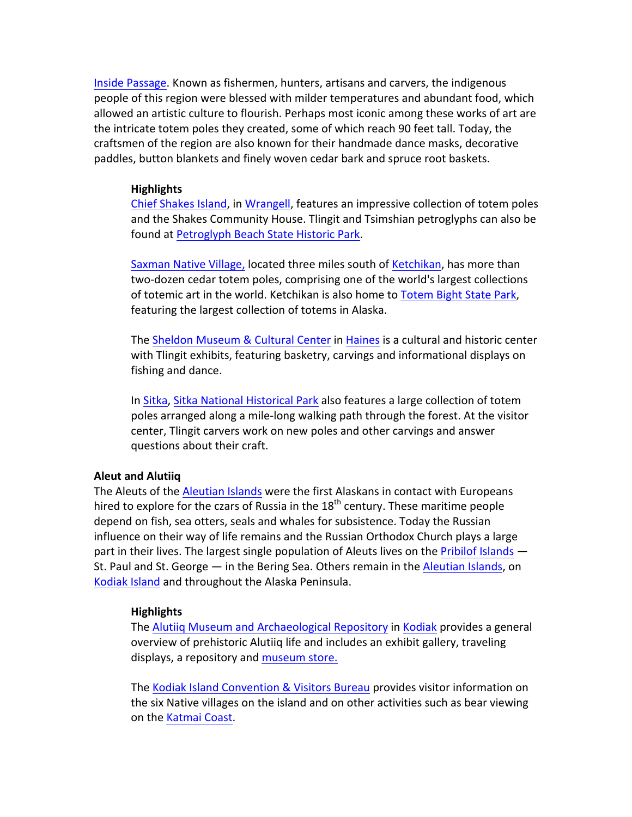Inside Passage. Known as fishermen, hunters, artisans and carvers, the indigenous people of this region were blessed with milder temperatures and abundant food, which allowed an artistic culture to flourish. Perhaps most iconic among these works of art are the intricate totem poles they created, some of which reach 90 feet tall. Today, the craftsmen of the region are also known for their handmade dance masks, decorative paddles, button blankets and finely woven cedar bark and spruce root baskets.

#### **Highlights**

Chief Shakes Island, in Wrangell, features an impressive collection of totem poles and the Shakes Community House. Tlingit and Tsimshian petroglyphs can also be found at Petroglyph Beach State Historic Park.

Saxman Native Village, located three miles south of Ketchikan, has more than two-dozen cedar totem poles, comprising one of the world's largest collections of totemic art in the world. Ketchikan is also home to Totem Bight State Park, featuring the largest collection of totems in Alaska.

The Sheldon Museum & Cultural Center in Haines is a cultural and historic center with Tlingit exhibits, featuring basketry, carvings and informational displays on fishing and dance.

In Sitka, Sitka National Historical Park also features a large collection of totem poles arranged along a mile-long walking path through the forest. At the visitor center, Tlingit carvers work on new poles and other carvings and answer questions about their craft.

### **Aleut and Alutiiq**

The Aleuts of the Aleutian Islands were the first Alaskans in contact with Europeans hired to explore for the czars of Russia in the  $18<sup>th</sup>$  century. These maritime people depend on fish, sea otters, seals and whales for subsistence. Today the Russian influence on their way of life remains and the Russian Orthodox Church plays a large part in their lives. The largest single population of Aleuts lives on the Pribilof Islands  $-$ St. Paul and St. George  $-$  in the Bering Sea. Others remain in the Aleutian Islands, on Kodiak Island and throughout the Alaska Peninsula.

### **Highlights**

The Alutiiq Museum and Archaeological Repository in Kodiak provides a general overview of prehistoric Alutiiq life and includes an exhibit gallery, traveling displays, a repository and museum store.

The Kodiak Island Convention & Visitors Bureau provides visitor information on the six Native villages on the island and on other activities such as bear viewing on the Katmai Coast.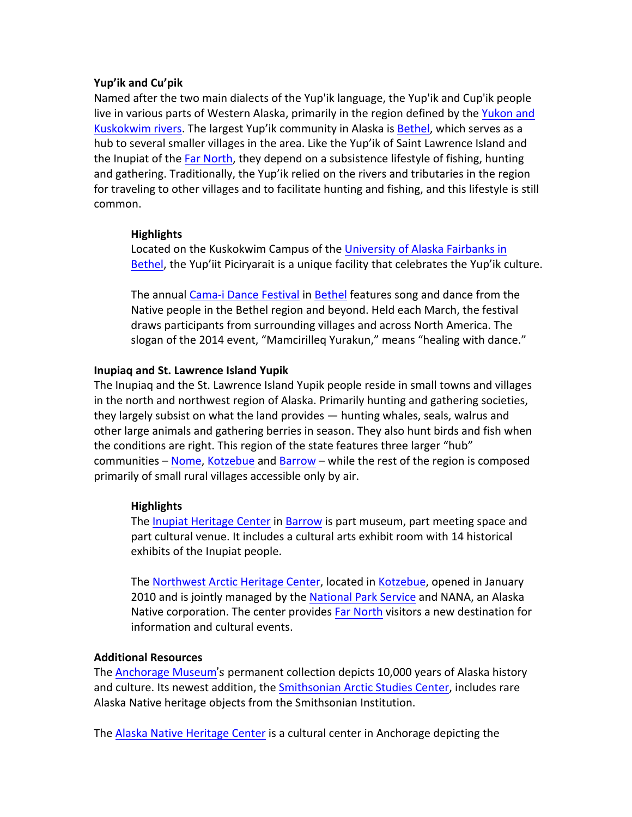# **Yup'ik and Cu'pik**

Named after the two main dialects of the Yup'ik language, the Yup'ik and Cup'ik people live in various parts of Western Alaska, primarily in the region defined by the Yukon and Kuskokwim rivers. The largest Yup'ik community in Alaska is Bethel, which serves as a hub to several smaller villages in the area. Like the Yup'ik of Saint Lawrence Island and the Inupiat of the Far North, they depend on a subsistence lifestyle of fishing, hunting and gathering. Traditionally, the Yup'ik relied on the rivers and tributaries in the region for traveling to other villages and to facilitate hunting and fishing, and this lifestyle is still common.

# **Highlights**

Located on the Kuskokwim Campus of the University of Alaska Fairbanks in Bethel, the Yup'iit Piciryarait is a unique facility that celebrates the Yup'ik culture.

The annual Cama-i Dance Festival in Bethel features song and dance from the Native people in the Bethel region and beyond. Held each March, the festival draws participants from surrounding villages and across North America. The slogan of the 2014 event, "Mamcirilleq Yurakun," means "healing with dance."

# **Inupiaq and St. Lawrence Island Yupik**

The Inupiaq and the St. Lawrence Island Yupik people reside in small towns and villages in the north and northwest region of Alaska. Primarily hunting and gathering societies, they largely subsist on what the land provides — hunting whales, seals, walrus and other large animals and gathering berries in season. They also hunt birds and fish when the conditions are right. This region of the state features three larger "hub" communities – Nome, Kotzebue and Barrow – while the rest of the region is composed primarily of small rural villages accessible only by air.

# **Highlights**

The Inupiat Heritage Center in Barrow is part museum, part meeting space and part cultural venue. It includes a cultural arts exhibit room with 14 historical exhibits of the Inupiat people.

The Northwest Arctic Heritage Center, located in Kotzebue, opened in January 2010 and is jointly managed by the National Park Service and NANA, an Alaska Native corporation. The center provides Far North visitors a new destination for information and cultural events.

# **Additional Resources**

The Anchorage Museum's permanent collection depicts 10,000 years of Alaska history and culture. Its newest addition, the Smithsonian Arctic Studies Center, includes rare Alaska Native heritage objects from the Smithsonian Institution.

The Alaska Native Heritage Center is a cultural center in Anchorage depicting the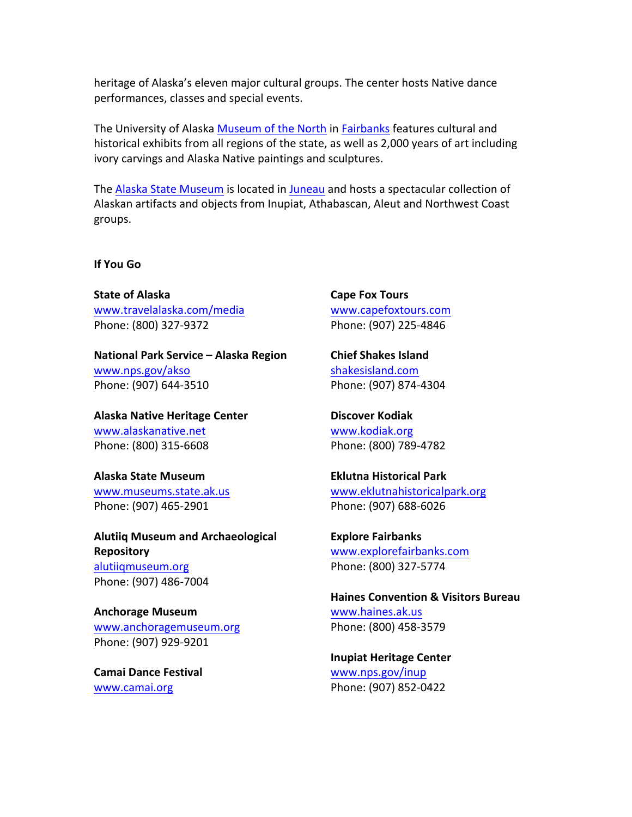heritage of Alaska's eleven major cultural groups. The center hosts Native dance performances, classes and special events.

The University of Alaska Museum of the North in Fairbanks features cultural and historical exhibits from all regions of the state, as well as 2,000 years of art including ivory carvings and Alaska Native paintings and sculptures.

The Alaska State Museum is located in Juneau and hosts a spectacular collection of Alaskan artifacts and objects from Inupiat, Athabascan, Aleut and Northwest Coast groups. 

**If You Go**

**State of Alaska** www.travelalaska.com/media Phone: (800) 327-9372

**National Park Service – Alaska Region** www.nps.gov/akso Phone: (907) 644-3510

**Alaska Native Heritage Center** www.alaskanative.net Phone: (800) 315-6608

**Alaska State Museum** www.museums.state.ak.us Phone: (907) 465-2901

**Alutiiq Museum and Archaeological Repository** alutiiqmuseum.org Phone: (907) 486-7004

**Anchorage Museum** www.anchoragemuseum.org Phone: (907) 929-9201

**Camai Dance Festival** www.camai.org

**Cape Fox Tours** www.capefoxtours.com Phone: (907) 225-4846

**Chief Shakes Island** shakesisland.com Phone: (907) 874-4304

**Discover Kodiak** www.kodiak.org Phone: (800) 789-4782

**Eklutna Historical Park** www.eklutnahistoricalpark.org Phone: (907) 688-6026

**Explore Fairbanks** www.explorefairbanks.com Phone: (800) 327-5774

**Haines Convention & Visitors Bureau** www.haines.ak.us Phone: (800) 458-3579

**Inupiat Heritage Center** www.nps.gov/inup Phone: (907) 852-0422